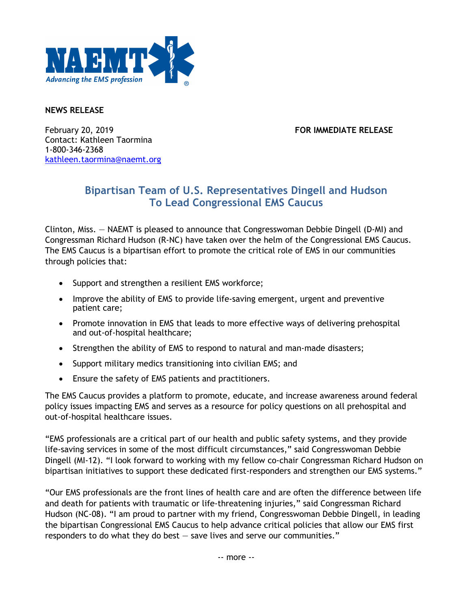

## **NEWS RELEASE**

February 20, 2019 **FOR IMMEDIATE RELEASE** Contact: Kathleen Taormina 1-800-346-2368 kathleen.taormina@naemt.org

## **Bipartisan Team of U.S. Representatives Dingell and Hudson To Lead Congressional EMS Caucus**

Clinton, Miss. — NAEMT is pleased to announce that Congresswoman Debbie Dingell (D-MI) and Congressman Richard Hudson (R-NC) have taken over the helm of the Congressional EMS Caucus. The EMS Caucus is a bipartisan effort to promote the critical role of EMS in our communities through policies that:

- Support and strengthen a resilient EMS workforce;
- Improve the ability of EMS to provide life-saving emergent, urgent and preventive patient care;
- Promote innovation in EMS that leads to more effective ways of delivering prehospital and out-of-hospital healthcare;
- Strengthen the ability of EMS to respond to natural and man-made disasters;
- Support military medics transitioning into civilian EMS; and
- Ensure the safety of EMS patients and practitioners.

The EMS Caucus provides a platform to promote, educate, and increase awareness around federal policy issues impacting EMS and serves as a resource for policy questions on all prehospital and out-of-hospital healthcare issues.

"EMS professionals are a critical part of our health and public safety systems, and they provide life-saving services in some of the most difficult circumstances," said Congresswoman Debbie Dingell (MI-12). "I look forward to working with my fellow co-chair Congressman Richard Hudson on bipartisan initiatives to support these dedicated first-responders and strengthen our EMS systems."

"Our EMS professionals are the front lines of health care and are often the difference between life and death for patients with traumatic or life-threatening injuries," said Congressman Richard Hudson (NC-08). "I am proud to partner with my friend, Congresswoman Debbie Dingell, in leading the bipartisan Congressional EMS Caucus to help advance critical policies that allow our EMS first responders to do what they do best — save lives and serve our communities."